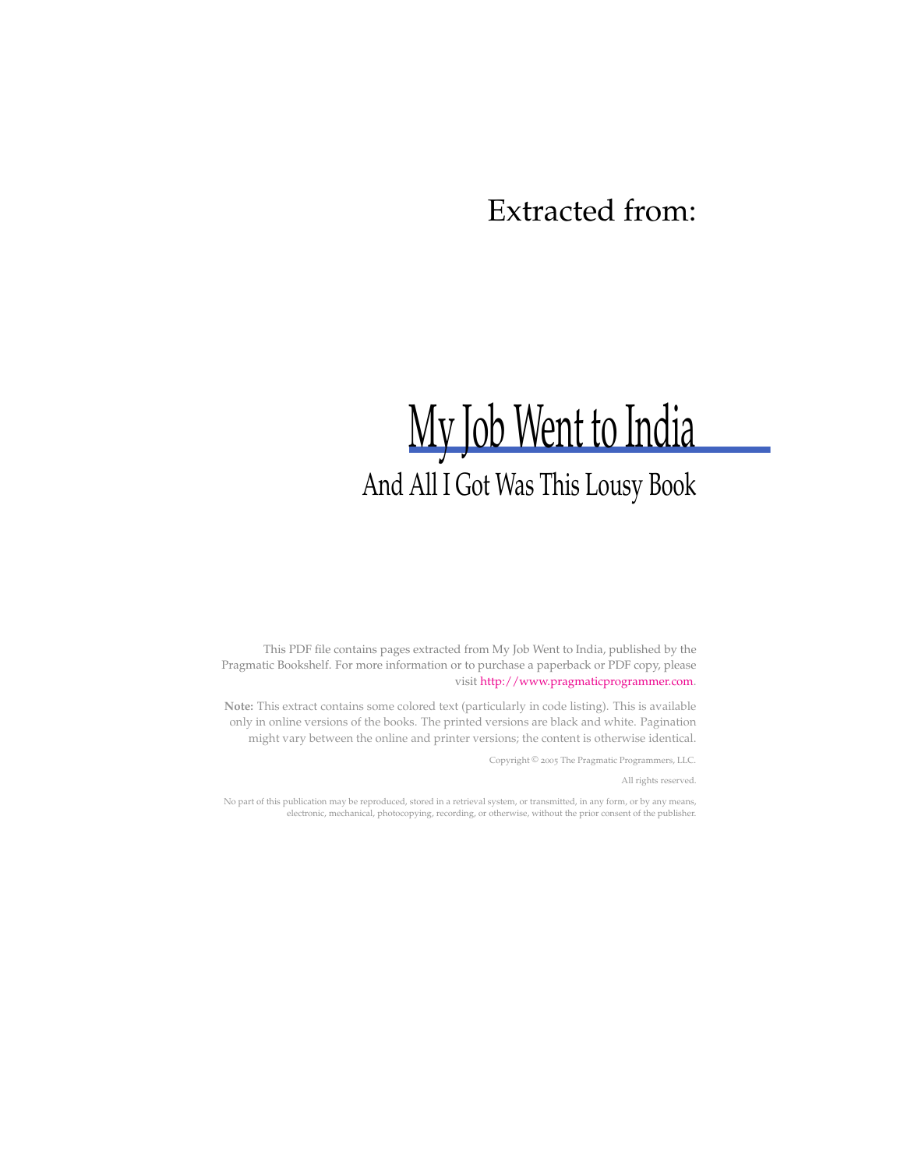### Extracted from:

# My Job Went to India And All I Got Was This Lousy Book

This PDF file contains pages extracted from My Job Went to India, published by the Pragmatic Bookshelf. For more information or to purchase a paperback or PDF copy, please visit http://www.pragmaticprogrammer.com.

**Note:** This extract contains some colored text (particularly in code listing). This is available only in online versions of the books. The printed versions are black and white. Pagination might vary between the online and printer versions; the content is otherwise identical.

Copyright © 2005 The Pragmatic Programmers, LLC.

All rights reserved.

No part of this publication may be reproduced, stored in a retrieval system, or transmitted, in any form, or by any means, electronic, mechanical, photocopying, recording, or otherwise, without the prior consent of the publisher.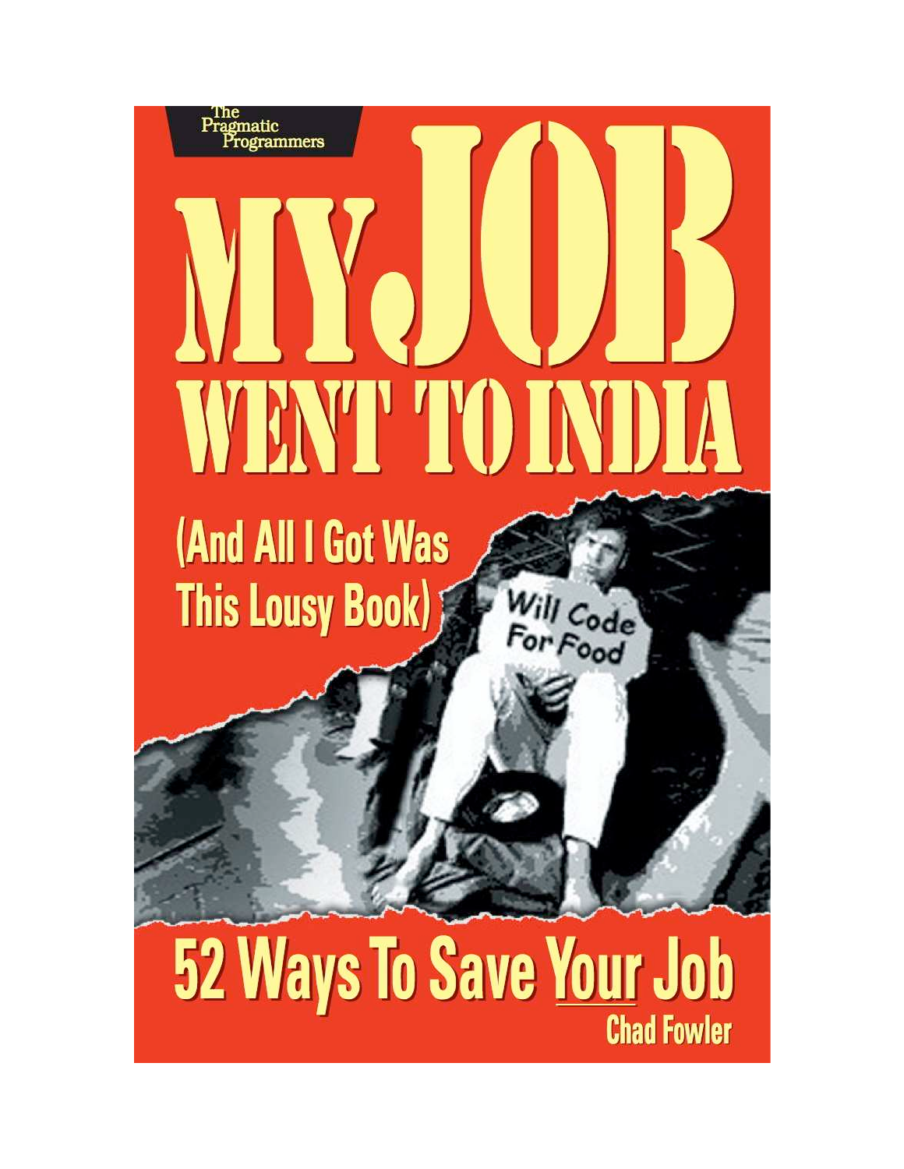

**Chad Fowler**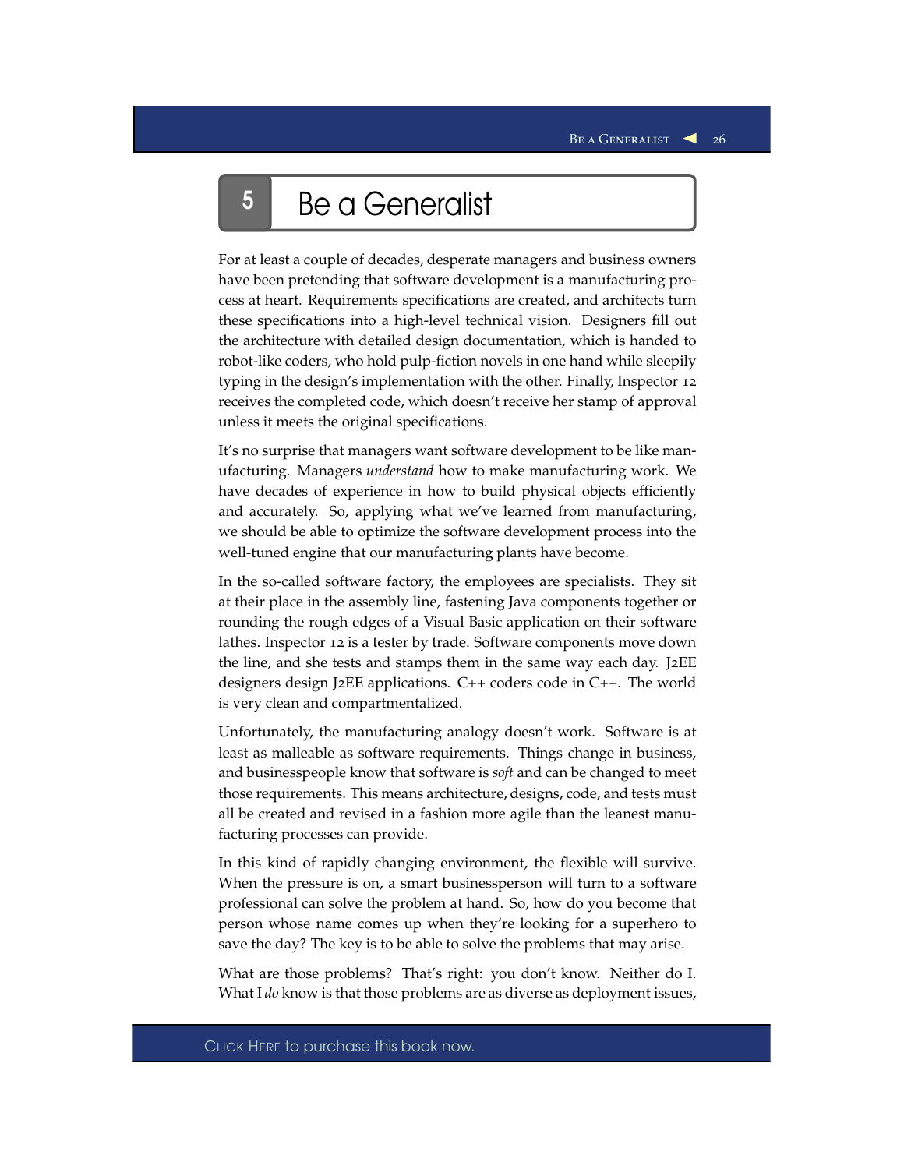### 5 Be a Generalist

For at least a couple of decades, desperate managers and business owners have been pretending that software development is a manufacturing process at heart. Requirements specifications are created, and architects turn these specifications into a high-level technical vision. Designers fill out the architecture with detailed design documentation, which is handed to robot-like coders, who hold pulp-fiction novels in one hand while sleepily typing in the design's implementation with the other. Finally, Inspector 12 receives the completed code, which doesn't receive her stamp of approval unless it meets the original specifications.

It's no surprise that managers want software development to be like manufacturing. Managers *understand* how to make manufacturing work. We have decades of experience in how to build physical objects efficiently and accurately. So, applying what we've learned from manufacturing, we should be able to optimize the software development process into the well-tuned engine that our manufacturing plants have become.

In the so-called software factory, the employees are specialists. They sit at their place in the assembly line, fastening Java components together or rounding the rough edges of a Visual Basic application on their software lathes. Inspector 12 is a tester by trade. Software components move down the line, and she tests and stamps them in the same way each day. J2EE designers design J2EE applications. C++ coders code in C++. The world is very clean and compartmentalized.

Unfortunately, the manufacturing analogy doesn't work. Software is at least as malleable as software requirements. Things change in business, and businesspeople know that software is *soft* and can be changed to meet those requirements. This means architecture, designs, code, and tests must all be created and revised in a fashion more agile than the leanest manufacturing processes can provide.

In this kind of rapidly changing environment, the flexible will survive. When the pressure is on, a smart businessperson will turn to a software professional can solve the problem at hand. So, how do you become that person whose name comes up when they're looking for a superhero to save the day? The key is to be able to solve the problems that may arise.

What are those problems? That's right: you don't know. Neither do I. What I *do* know is that those problems are as diverse as deployment issues,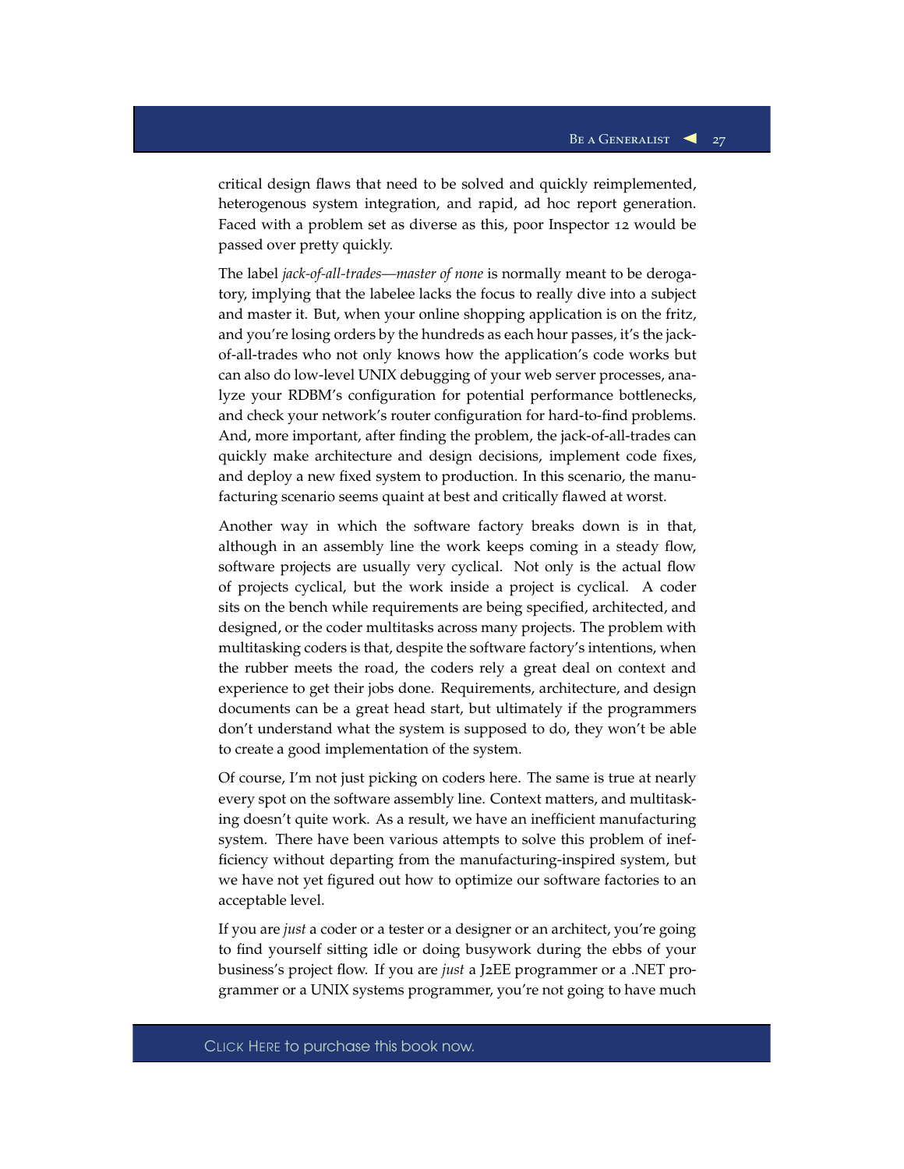critical design flaws that need to be solved and quickly reimplemented, heterogenous system integration, and rapid, ad hoc report generation. Faced with a problem set as diverse as this, poor Inspector 12 would be passed over pretty quickly.

The label *jack-of-all-trades—master of none* is normally meant to be derogatory, implying that the labelee lacks the focus to really dive into a subject and master it. But, when your online shopping application is on the fritz, and you're losing orders by the hundreds as each hour passes, it's the jackof-all-trades who not only knows how the application's code works but can also do low-level UNIX debugging of your web server processes, analyze your RDBM's configuration for potential performance bottlenecks, and check your network's router configuration for hard-to-find problems. And, more important, after finding the problem, the jack-of-all-trades can quickly make architecture and design decisions, implement code fixes, and deploy a new fixed system to production. In this scenario, the manufacturing scenario seems quaint at best and critically flawed at worst.

Another way in which the software factory breaks down is in that, although in an assembly line the work keeps coming in a steady flow, software projects are usually very cyclical. Not only is the actual flow of projects cyclical, but the work inside a project is cyclical. A coder sits on the bench while requirements are being specified, architected, and designed, or the coder multitasks across many projects. The problem with multitasking coders is that, despite the software factory's intentions, when the rubber meets the road, the coders rely a great deal on context and experience to get their jobs done. Requirements, architecture, and design documents can be a great head start, but ultimately if the programmers don't understand what the system is supposed to do, they won't be able to create a good implementation of the system.

Of course, I'm not just picking on coders here. The same is true at nearly every spot on the software assembly line. Context matters, and multitasking doesn't quite work. As a result, we have an inefficient manufacturing system. There have been various attempts to solve this problem of inefficiency without departing from the manufacturing-inspired system, but we have not yet figured out how to optimize our software factories to an acceptable level.

If you are *just* a coder or a tester or a designer or an architect, you're going to find yourself sitting idle or doing busywork during the ebbs of your business's project flow. If you are *just* a J2EE programmer or a .NET programmer or a UNIX systems programmer, you're not going to have much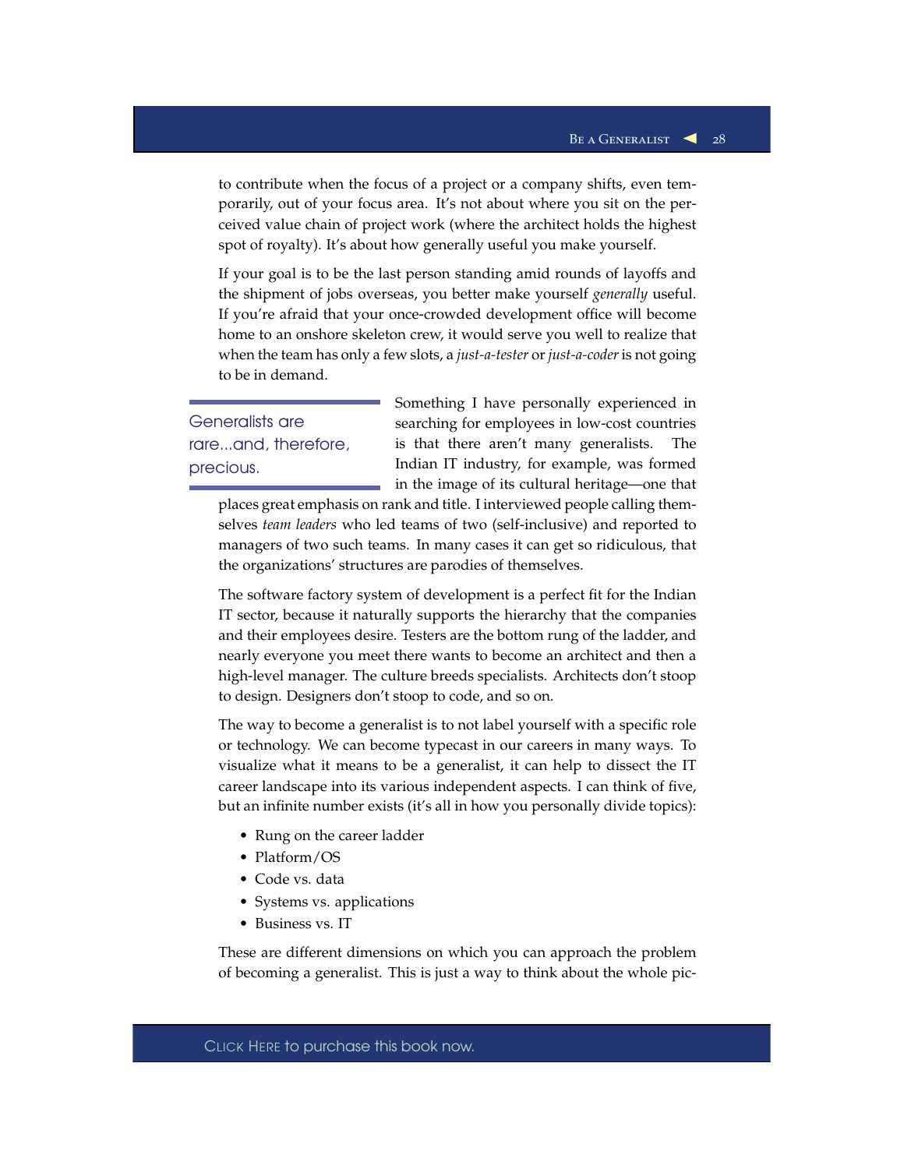to contribute when the focus of a project or a company shifts, even temporarily, out of your focus area. It's not about where you sit on the perceived value chain of project work (where the architect holds the highest spot of royalty). It's about how generally useful you make yourself.

If your goal is to be the last person standing amid rounds of layoffs and the shipment of jobs overseas, you better make yourself *generally* useful. If you're afraid that your once-crowded development office will become home to an onshore skeleton crew, it would serve you well to realize that when the team has only a few slots, a *just-a-tester* or*just-a-coder*is not going to be in demand.

Generalists are rare...and, therefore, precious.

Something I have personally experienced in searching for employees in low-cost countries is that there aren't many generalists. The Indian IT industry, for example, was formed in the image of its cultural heritage—one that

places great emphasis on rank and title. I interviewed people calling themselves *team leaders* who led teams of two (self-inclusive) and reported to managers of two such teams. In many cases it can get so ridiculous, that the organizations' structures are parodies of themselves.

The software factory system of development is a perfect fit for the Indian IT sector, because it naturally supports the hierarchy that the companies and their employees desire. Testers are the bottom rung of the ladder, and nearly everyone you meet there wants to become an architect and then a high-level manager. The culture breeds specialists. Architects don't stoop to design. Designers don't stoop to code, and so on.

The way to become a generalist is to not label yourself with a specific role or technology. We can become typecast in our careers in many ways. To visualize what it means to be a generalist, it can help to dissect the IT career landscape into its various independent aspects. I can think of five, but an infinite number exists (it's all in how you personally divide topics):

- Rung on the career ladder
- Platform/OS
- Code vs. data
- Systems vs. applications
- Business vs. IT

These are different dimensions on which you can approach the problem of becoming a generalist. This is just a way to think about the whole pic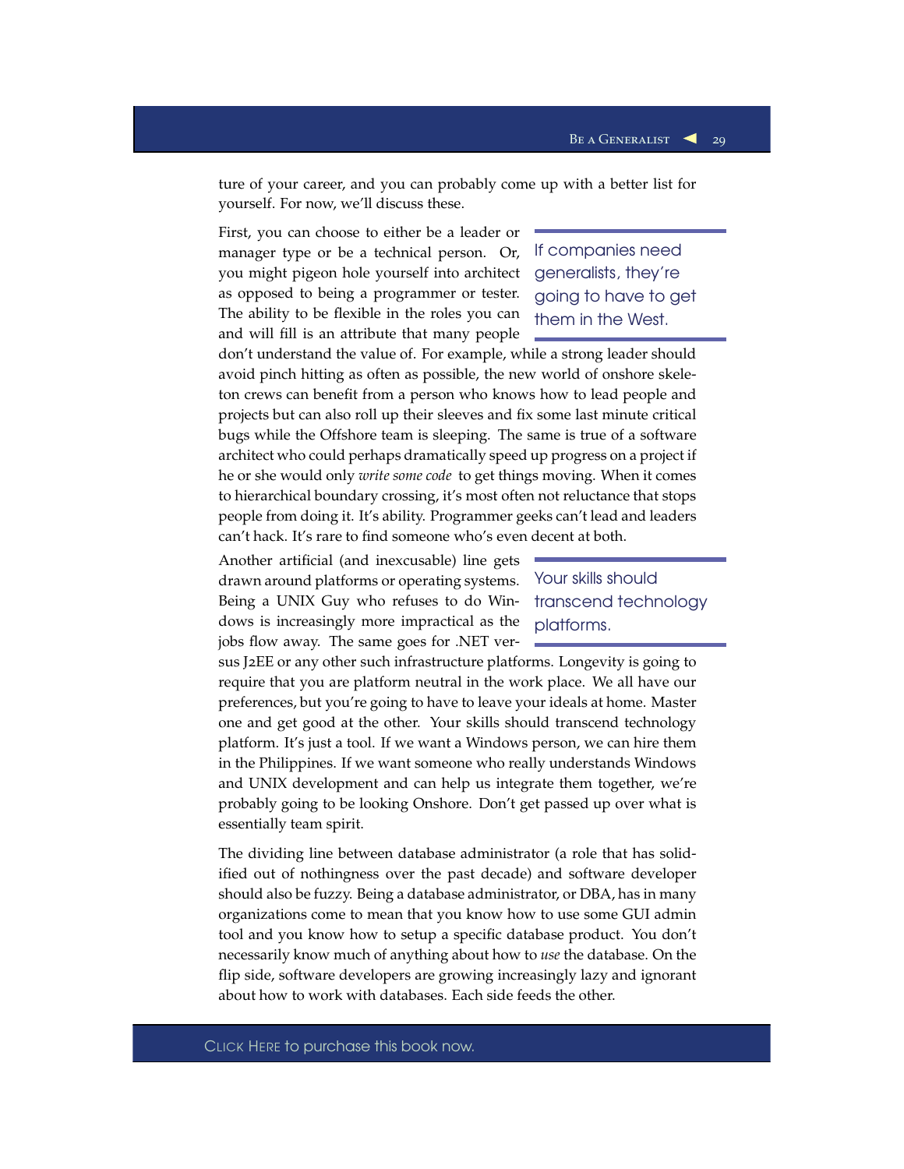ture of your career, and you can probably come up with a better list for yourself. For now, we'll discuss these.

First, you can choose to either be a leader or manager type or be a technical person. Or, you might pigeon hole yourself into architect as opposed to being a programmer or tester. The ability to be flexible in the roles you can and will fill is an attribute that many people

If companies need generalists, they're going to have to get them in the West.

don't understand the value of. For example, while a strong leader should avoid pinch hitting as often as possible, the new world of onshore skeleton crews can benefit from a person who knows how to lead people and projects but can also roll up their sleeves and fix some last minute critical bugs while the Offshore team is sleeping. The same is true of a software architect who could perhaps dramatically speed up progress on a project if he or she would only *write some code* to get things moving. When it comes to hierarchical boundary crossing, it's most often not reluctance that stops people from doing it. It's ability. Programmer geeks can't lead and leaders can't hack. It's rare to find someone who's even decent at both.

Another artificial (and inexcusable) line gets drawn around platforms or operating systems. Being a UNIX Guy who refuses to do Windows is increasingly more impractical as the jobs flow away. The same goes for .NET ver-

Your skills should transcend technology platforms.

sus J2EE or any other such infrastructure platforms. Longevity is going to require that you are platform neutral in the work place. We all have our preferences, but you're going to have to leave your ideals at home. Master one and get good at the other. Your skills should transcend technology platform. It's just a tool. If we want a Windows person, we can hire them in the Philippines. If we want someone who really understands Windows and UNIX development and can help us integrate them together, we're probably going to be looking Onshore. Don't get passed up over what is essentially team spirit.

The dividing line between database administrator (a role that has solidified out of nothingness over the past decade) and software developer should also be fuzzy. Being a database administrator, or DBA, has in many organizations come to mean that you know how to use some GUI admin tool and you know how to setup a specific database product. You don't necessarily know much of anything about how to *use* the database. On the flip side, software developers are growing increasingly lazy and ignorant about how to work with databases. Each side feeds the other.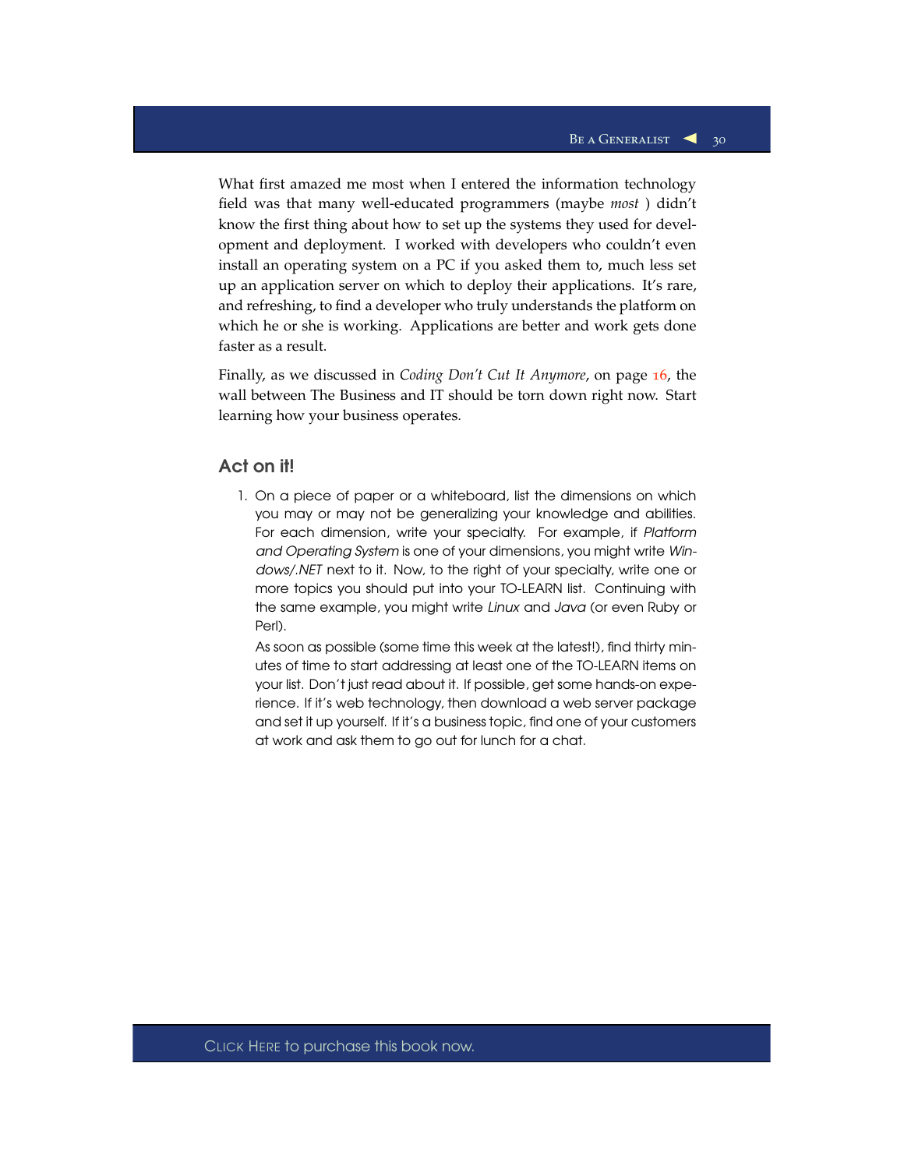What first amazed me most when I entered the information technology field was that many well-educated programmers (maybe *most* ) didn't know the first thing about how to set up the systems they used for development and deployment. I worked with developers who couldn't even install an operating system on a PC if you asked them to, much less set up an application server on which to deploy their applications. It's rare, and refreshing, to find a developer who truly understands the platform on which he or she is working. Applications are better and work gets done faster as a result.

Finally, as we discussed in *Coding Don't Cut It Anymore*, on page 16, the wall between The Business and IT should be torn down right now. Start learning how your business operates.

### Act on it!

1. On a piece of paper or a whiteboard, list the dimensions on which you may or may not be generalizing your knowledge and abilities. For each dimension, write your specialty. For example, if Platform and Operating System is one of your dimensions, you might write Windows/.NET next to it. Now, to the right of your specialty, write one or more topics you should put into your TO-LEARN list. Continuing with the same example, you might write Linux and Java (or even Ruby or Perl).

As soon as possible (some time this week at the latest!), find thirty minutes of time to start addressing at least one of the TO-LEARN items on your list. Don't just read about it. If possible, get some hands-on experience. If it's web technology, then download a web server package and set it up yourself. If it's a business topic, find one of your customers at work and ask them to go out for lunch for a chat.

### CLICK HERE to purchase this book now.